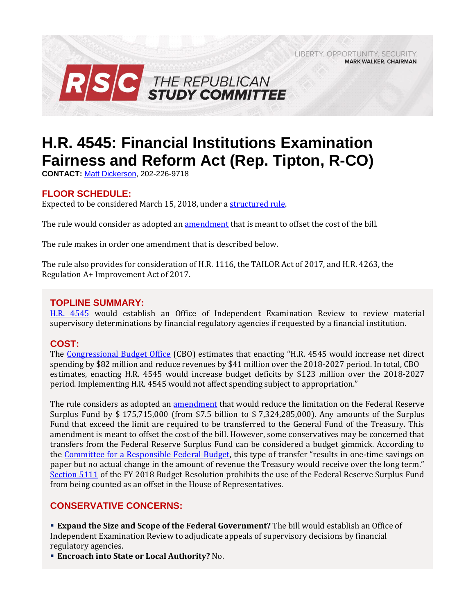LIBERTY, OPPORTUNITY, SECURITY, **MARK WALKER, CHAIRMAN** 



# **H.R. 4545: Financial Institutions Examination Fairness and Reform Act (Rep. Tipton, R-CO)**

**CONTACT:** [Matt Dickerson,](mailto:Matthew.Dickerson@mail.house.gov) 202-226-9718

# **FLOOR SCHEDULE:**

Expected to be considered March 15, 2018, under [a structured rule.](https://rules.house.gov/bill/115/hr-4545)

The rule would consider as adopted an [amendment](https://amendments-rules.house.gov/amendments/HR4545_FED_xml3818151206126.pdf) that is meant to offset the cost of the bill.

The rule makes in order one amendment that is described below.

The rule also provides for consideration of H.R. 1116, the TAILOR Act of 2017, and H.R. 4263, the Regulation A+ Improvement Act of 2017.

### **TOPLINE SUMMARY:**

[H.R. 4545](https://www.gpo.gov/fdsys/pkg/BILLS-115hr4545rh/pdf/BILLS-115hr4545rh.pdf) would establish an Office of Independent Examination Review to review material supervisory determinations by financial regulatory agencies if requested by a financial institution.

## **COST:**

The [Congressional Budget Office](https://www.cbo.gov/system/files/115th-congress-2017-2018/costestimate/hr4545.pdf) (CBO) estimates that enacting "H.R. 4545 would increase net direct spending by \$82 million and reduce revenues by \$41 million over the 2018-2027 period. In total, CBO estimates, enacting H.R. 4545 would increase budget deficits by \$123 million over the 2018-2027 period. Implementing H.R. 4545 would not affect spending subject to appropriation."

The rule considers as adopted an [amendment](https://amendments-rules.house.gov/amendments/HR4545_FED_xml3818151206126.pdf) that would reduce the limitation on the Federal Reserve Surplus Fund by \$ 175,715,000 (from \$7.5 billion to \$ 7,324,285,000). Any amounts of the Surplus Fund that exceed the limit are required to be transferred to the General Fund of the Treasury. This amendment is meant to offset the cost of the bill. However, some conservatives may be concerned that transfers from the Federal Reserve Surplus Fund can be considered a budget gimmick. According to the [Committee for a Responsible Federal Budget](http://www.crfb.org/blogs/federal-reserve-budget-gimmick-house-transportation-bill), this type of transfer "results in one-time savings on paper but no actual change in the amount of revenue the Treasury would receive over the long term." [Section 5111](https://www.congress.gov/115/bills/hconres71/BILLS-115hconres71enr.pdf#page=45) of the FY 2018 Budget Resolution prohibits the use of the Federal Reserve Surplus Fund from being counted as an offset in the House of Representatives.

## **CONSERVATIVE CONCERNS:**

▪ **Expand the Size and Scope of the Federal Government?** The bill would establish an Office of Independent Examination Review to adjudicate appeals of supervisory decisions by financial regulatory agencies.

▪ **Encroach into State or Local Authority?** No.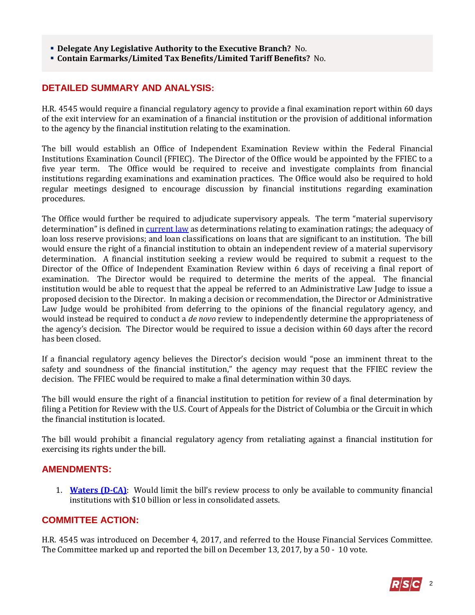- **Delegate Any Legislative Authority to the Executive Branch?** No.
- **Contain Earmarks/Limited Tax Benefits/Limited Tariff Benefits?** No.

#### **DETAILED SUMMARY AND ANALYSIS:**

H.R. 4545 would require a financial regulatory agency to provide a final examination report within 60 days of the exit interview for an examination of a financial institution or the provision of additional information to the agency by the financial institution relating to the examination.

The bill would establish an Office of Independent Examination Review within the Federal Financial Institutions Examination Council (FFIEC). The Director of the Office would be appointed by the FFIEC to a five year term. The Office would be required to receive and investigate complaints from financial institutions regarding examinations and examination practices. The Office would also be required to hold regular meetings designed to encourage discussion by financial institutions regarding examination procedures.

The Office would further be required to adjudicate supervisory appeals. The term "material supervisory determination" is defined in [current law](http://uscode.house.gov/view.xhtml?req=(title:12%20section:4806%20edition:prelim)%20OR%20(granuleid:USC-prelim-title12-section4806)&f=treesort&edition=prelim&num=0&jumpTo=true#substructure-location_f_1) as determinations relating to examination ratings; the adequacy of loan loss reserve provisions; and loan classifications on loans that are significant to an institution. The bill would ensure the right of a financial institution to obtain an independent review of a material supervisory determination. A financial institution seeking a review would be required to submit a request to the Director of the Office of Independent Examination Review within 6 days of receiving a final report of examination. The Director would be required to determine the merits of the appeal. The financial institution would be able to request that the appeal be referred to an Administrative Law Judge to issue a proposed decision to the Director. In making a decision or recommendation, the Director or Administrative Law Judge would be prohibited from deferring to the opinions of the financial regulatory agency, and would instead be required to conduct a *de novo* review to independently determine the appropriateness of the agency's decision. The Director would be required to issue a decision within 60 days after the record has been closed.

If a financial regulatory agency believes the Director's decision would "pose an imminent threat to the safety and soundness of the financial institution," the agency may request that the FFIEC review the decision. The FFIEC would be required to make a final determination within 30 days.

The bill would ensure the right of a financial institution to petition for review of a final determination by filing a Petition for Review with the U.S. Court of Appeals for the District of Columbia or the Circuit in which the financial institution is located.

The bill would prohibit a financial regulatory agency from retaliating against a financial institution for exercising its rights under the bill.

#### **AMENDMENTS:**

1. **[Waters \(D-CA\)](https://amendments-rules.house.gov/amendments/WATERS_150_xml312181327302730.pdf)**: Would limit the bill's review process to only be available to community financial institutions with \$10 billion or less in consolidated assets.

#### **COMMITTEE ACTION:**

H.R. 4545 was introduced on December 4, 2017, and referred to the House Financial Services Committee. The Committee marked up and reported the bill on December 13, 2017, by a 50 - 10 vote.